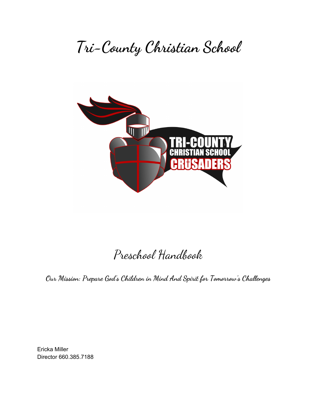# **Tri-County Christian School**



# Preschool Handbook

**Our Mission: Prepare God's Children in Mind And Spirit for Tomorrow's Challenges**

Ericka Miller Director 660.385.7188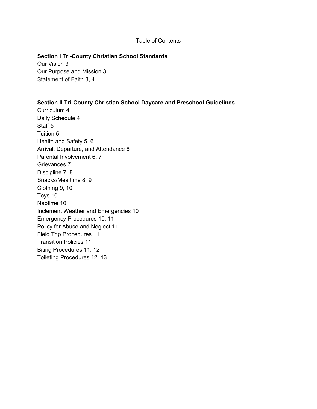#### Table of Contents

#### **Section I Tri-County Christian School Standards**

Our Vision 3 Our Purpose and Mission 3 Statement of Faith 3, 4

#### **Section II Tri-County Christian School Daycare and Preschool Guidelines**

Curriculum 4 Daily Schedule 4 Staff 5 Tuition 5 Health and Safety 5, 6 Arrival, Departure, and Attendance 6 Parental Involvement 6, 7 Grievances 7 Discipline 7, 8 Snacks/Mealtime 8, 9 Clothing 9, 10 Toys 10 Naptime 10 Inclement Weather and Emergencies 10 Emergency Procedures 10, 11 Policy for Abuse and Neglect 11 Field Trip Procedures 11 Transition Policies 11 Biting Procedures 11, 12 Toileting Procedures 12, 13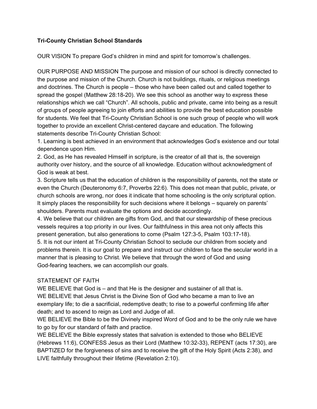# **Tri-County Christian School Standards**

OUR VISION To prepare God's children in mind and spirit for tomorrow's challenges.

OUR PURPOSE AND MISSION The purpose and mission of our school is directly connected to the purpose and mission of the Church. Church is not buildings, rituals, or religious meetings and doctrines. The Church is people – those who have been called out and called together to spread the gospel (Matthew 28:18-20). We see this school as another way to express these relationships which we call "Church". All schools, public and private, came into being as a result of groups of people agreeing to join efforts and abilities to provide the best education possible for students. We feel that Tri-County Christian School is one such group of people who will work together to provide an excellent Christ-centered daycare and education. The following statements describe Tri-County Christian School:

1. Learning is best achieved in an environment that acknowledges God's existence and our total dependence upon Him.

2. God, as He has revealed Himself in scripture, is the creator of all that is, the sovereign authority over history, and the source of all knowledge. Education without acknowledgment of God is weak at best.

3. Scripture tells us that the education of children is the responsibility of parents, not the state or even the Church (Deuteronomy 6:7, Proverbs 22:6). This does not mean that public, private, or church schools are wrong, nor does it indicate that home schooling is the only scriptural option. It simply places the responsibility for such decisions where it belongs – squarely on parents' shoulders. Parents must evaluate the options and decide accordingly.

4. We believe that our children are gifts from God, and that our stewardship of these precious vessels requires a top priority in our lives. Our faithfulness in this area not only affects this present generation, but also generations to come (Psalm 127:3-5, Psalm 103:17-18). 5. It is not our intent at Tri-County Christian School to seclude our children from society and problems therein. It is our goal to prepare and instruct our children to face the secular world in a manner that is pleasing to Christ. We believe that through the word of God and using God-fearing teachers, we can accomplish our goals.

# STATEMENT OF FAITH

WE BELIEVE that God is – and that He is the designer and sustainer of all that is. WE BELIEVE that Jesus Christ is the Divine Son of God who became a man to live an exemplary life; to die a sacrificial, redemptive death; to rise to a powerful confirming life after death; and to ascend to reign as Lord and Judge of all.

WE BELIEVE the Bible to be the Divinely inspired Word of God and to be the only rule we have to go by for our standard of faith and practice.

WE BELIEVE the Bible expressly states that salvation is extended to those who BELIEVE (Hebrews 11:6), CONFESS Jesus as their Lord (Matthew 10:32-33), REPENT (acts 17:30), are BAPTIZED for the forgiveness of sins and to receive the gift of the Holy Spirit (Acts 2:38), and LIVE faithfully throughout their lifetime (Revelation 2:10).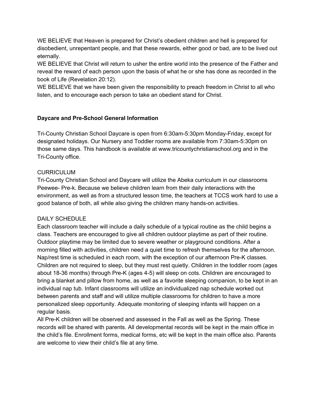WE BELIEVE that Heaven is prepared for Christ's obedient children and hell is prepared for disobedient, unrepentant people, and that these rewards, either good or bad, are to be lived out eternally.

WE BELIEVE that Christ will return to usher the entire world into the presence of the Father and reveal the reward of each person upon the basis of what he or she has done as recorded in the book of Life (Revelation 20:12).

WE BELIEVE that we have been given the responsibility to preach freedom in Christ to all who listen, and to encourage each person to take an obedient stand for Christ.

# **Daycare and Pre-School General Information**

Tri-County Christian School Daycare is open from 6:30am-5:30pm Monday-Friday, except for designated holidays. Our Nursery and Toddler rooms are available from 7:30am-5:30pm on those same days. This handbook is available at www.tricountychristianschool.org and in the Tri-County office.

# CURRICULUM

Tri-County Christian School and Daycare will utilize the Abeka curriculum in our classrooms Peewee- Pre-k. Because we believe children learn from their daily interactions with the environment, as well as from a structured lesson time, the teachers at TCCS work hard to use a good balance of both, all while also giving the children many hands-on activities.

# DAILY SCHEDULE

Each classroom teacher will include a daily schedule of a typical routine as the child begins a class. Teachers are encouraged to give all children outdoor playtime as part of their routine. Outdoor playtime may be limited due to severe weather or playground conditions. After a morning filled with activities, children need a quiet time to refresh themselves for the afternoon. Nap/rest time is scheduled in each room, with the exception of our afternoon Pre-K classes. Children are not required to sleep, but they must rest quietly. Children in the toddler room (ages about 18-36 months) through Pre-K (ages 4-5) will sleep on cots. Children are encouraged to bring a blanket and pillow from home, as well as a favorite sleeping companion, to be kept in an individual nap tub. Infant classrooms will utilize an individualized nap schedule worked out between parents and staff and will utilize multiple classrooms for children to have a more personalized sleep opportunity. Adequate monitoring of sleeping infants will happen on a regular basis.

All Pre-K children will be observed and assessed in the Fall as well as the Spring. These records will be shared with parents. All developmental records will be kept in the main office in the child's file. Enrollment forms, medical forms, etc will be kept in the main office also. Parents are welcome to view their child's file at any time.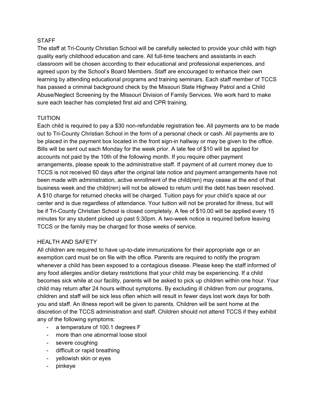#### **STAFF**

The staff at Tri-County Christian School will be carefully selected to provide your child with high quality early childhood education and care. All full-time teachers and assistants in each classroom will be chosen according to their educational and professional experiences, and agreed upon by the School's Board Members. Staff are encouraged to enhance their own learning by attending educational programs and training seminars. Each staff member of TCCS has passed a criminal background check by the Missouri State Highway Patrol and a Child Abuse/Neglect Screening by the Missouri Division of Family Services. We work hard to make sure each teacher has completed first aid and CPR training.

# TUITION

Each child is required to pay a \$30 non-refundable registration fee. All payments are to be made out to Tri-County Christian School in the form of a personal check or cash. All payments are to be placed in the payment box located in the front sign-in hallway or may be given to the office. Bills will be sent out each Monday for the week prior. A late fee of \$10 will be applied for accounts not paid by the 10th of the following month. If you require other payment arrangements, please speak to the administrative staff. If payment of all current money due to TCCS is not received 60 days after the original late notice and payment arrangements have not been made with administration, active enrollment of the child(ren) may cease at the end of that business week and the child(ren) will not be allowed to return until the debt has been resolved. A \$10 charge for returned checks will be charged. Tuition pays for your child's space at our center and is due regardless of attendance. Your tuition will not be prorated for illness, but will be if Tri-County Christian School is closed completely. A fee of \$10.00 will be applied every 15 minutes for any student picked up past 5:30pm. A two-week notice is required before leaving TCCS or the family may be charged for those weeks of service.

#### HEALTH AND SAFETY

All children are required to have up-to-date immunizations for their appropriate age or an exemption card must be on file with the office. Parents are required to notify the program whenever a child has been exposed to a contagious disease. Please keep the staff informed of any food allergies and/or dietary restrictions that your child may be experiencing. If a child becomes sick while at our facility, parents will be asked to pick up children within one hour. Your child may return after 24 hours without symptoms. By excluding ill children from our programs, children and staff will be sick less often which will result in fewer days lost work days for both you and staff. An illness report will be given to parents. Children will be sent home at the discretion of the TCCS administration and staff. Children should not attend TCCS if they exhibit any of the following symptoms:

- a temperature of 100.1 degrees F
- more than one abnormal loose stool
- severe coughing
- difficult or rapid breathing
- yellowish skin or eyes
- pinkeye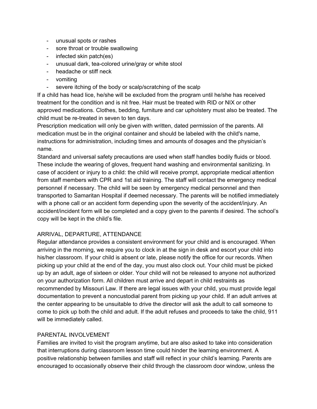- unusual spots or rashes
- sore throat or trouble swallowing
- infected skin patch(es)
- unusual dark, tea-colored urine/gray or white stool
- headache or stiff neck
- vomiting
- severe itching of the body or scalp/scratching of the scalp

If a child has head lice, he/she will be excluded from the program until he/she has received treatment for the condition and is nit free. Hair must be treated with RID or NIX or other approved medications. Clothes, bedding, furniture and car upholstery must also be treated. The child must be re-treated in seven to ten days.

Prescription medication will only be given with written, dated permission of the parents. All medication must be in the original container and should be labeled with the child's name, instructions for administration, including times and amounts of dosages and the physician's name.

Standard and universal safety precautions are used when staff handles bodily fluids or blood. These include the wearing of gloves, frequent hand washing and environmental sanitizing. In case of accident or injury to a child: the child will receive prompt, appropriate medical attention from staff members with CPR and 1st aid training. The staff will contact the emergency medical personnel if necessary. The child will be seen by emergency medical personnel and then transported to Samaritan Hospital if deemed necessary. The parents will be notified immediately with a phone call or an accident form depending upon the severity of the accident/injury. An accident/incident form will be completed and a copy given to the parents if desired. The school's copy will be kept in the child's file.

# ARRIVAL, DEPARTURE, ATTENDANCE

Regular attendance provides a consistent environment for your child and is encouraged. When arriving in the morning, we require you to clock in at the sign in desk and escort your child into his/her classroom. If your child is absent or late, please notify the office for our records. When picking up your child at the end of the day, you must also clock out. Your child must be picked up by an adult, age of sixteen or older. Your child will not be released to anyone not authorized on your authorization form. All children must arrive and depart in child restraints as recommended by Missouri Law. If there are legal issues with your child, you must provide legal documentation to prevent a noncustodial parent from picking up your child. If an adult arrives at the center appearing to be unsuitable to drive the director will ask the adult to call someone to come to pick up both the child and adult. If the adult refuses and proceeds to take the child, 911 will be immediately called.

#### PARENTAL INVOLVEMENT

Families are invited to visit the program anytime, but are also asked to take into consideration that interruptions during classroom lesson time could hinder the learning environment. A positive relationship between families and staff will reflect in your child's learning. Parents are encouraged to occasionally observe their child through the classroom door window, unless the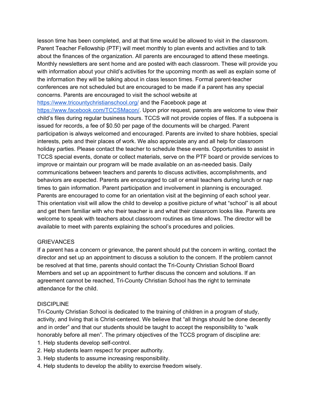lesson time has been completed, and at that time would be allowed to visit in the classroom. Parent Teacher Fellowship (PTF) will meet monthly to plan events and activities and to talk about the finances of the organization. All parents are encouraged to attend these meetings. Monthly newsletters are sent home and are posted with each classroom. These will provide you with information about your child's activities for the upcoming month as well as explain some of the information they will be talking about in class lesson times. Formal parent-teacher conferences are not scheduled but are encouraged to be made if a parent has any special concerns. Parents are encouraged to visit the school website at

<https://www.tricountychristianschool.org/> and the Facebook page at

<https://www.facebook.com/TCCSMacon/>. Upon prior request, parents are welcome to view their child's files during regular business hours. TCCS will not provide copies of files. If a subpoena is issued for records, a fee of \$0.50 per page of the documents will be charged. Parent participation is always welcomed and encouraged. Parents are invited to share hobbies, special interests, pets and their places of work. We also appreciate any and all help for classroom holiday parties. Please contact the teacher to schedule these events. Opportunities to assist in TCCS special events, donate or collect materials, serve on the PTF board or provide services to improve or maintain our program will be made available on an as-needed basis. Daily communications between teachers and parents to discuss activities, accomplishments, and behaviors are expected. Parents are encouraged to call or email teachers during lunch or nap times to gain information. Parent participation and involvement in planning is encouraged. Parents are encouraged to come for an orientation visit at the beginning of each school year. This orientation visit will allow the child to develop a positive picture of what "school" is all about and get them familiar with who their teacher is and what their classroom looks like. Parents are welcome to speak with teachers about classroom routines as time allows. The director will be available to meet with parents explaining the school's procedures and policies.

#### **GRIEVANCES**

If a parent has a concern or grievance, the parent should put the concern in writing, contact the director and set up an appointment to discuss a solution to the concern. If the problem cannot be resolved at that time, parents should contact the Tri-County Christian School Board Members and set up an appointment to further discuss the concern and solutions. If an agreement cannot be reached, Tri-County Christian School has the right to terminate attendance for the child.

# **DISCIPLINE**

Tri-County Christian School is dedicated to the training of children in a program of study, activity, and living that is Christ-centered. We believe that "all things should be done decently and in order" and that our students should be taught to accept the responsibility to "walk honorably before all men". The primary objectives of the TCCS program of discipline are:

- 1. Help students develop self-control.
- 2. Help students learn respect for proper authority.
- 3. Help students to assume increasing responsibility.
- 4. Help students to develop the ability to exercise freedom wisely.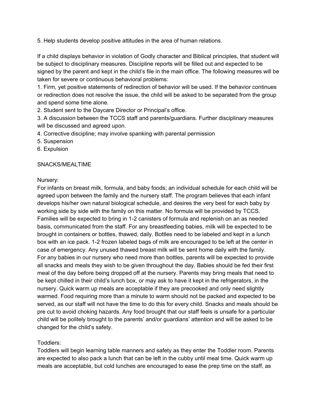5. Help students develop positive attitudes in the area of human relations.

If a child displays behavior in violation of Godly character and Biblical principles, that student will be subject to disciplinary measures. Discipline reports will be filled out and expected to be signed by the parent and kept in the child's file in the main office. The following measures will be taken for severe or continuous behavioral problems:

1. Firm, yet positive statements of redirection of behavior will be used. If the behavior continues or redirection does not resolve the issue, the child will be asked to be separated from the group and spend some time alone.

2. Student sent to the Daycare Director or Principal's office.

3. A discussion between the TCCS staff and parents/guardians. Further disciplinary measures will be discussed and agreed upon.

- 4. Corrective discipline; may involve spanking with parental permission
- 5. Suspension
- 6. Expulsion

# SNACKS/MEALTIME

#### Nursery:

For infants on breast milk, formula, and baby foods; an individual schedule for each child will be agreed upon between the family and the nursery staff. The program believes that each infant develops his/her own natural biological schedule, and desires the very best for each baby by working side by side with the family on this matter. No formula will be provided by TCCS. Families will be expected to bring in 1-2 canisters of formula and replenish on an as needed basis, communicated from the staff. For any breastfeeding babies, milk will be expected to be brought in containers or bottles, thawed, daily. Bottles need to be labeled and kept in a lunch box with an ice pack. 1-2 frozen labeled bags of milk are encouraged to be left at the center in case of emergency. Any unused thawed breast milk will be sent home daily with the family. For any babies in our nursery who need more than bottles, parents will be expected to provide all snacks and meals they wish to be given throughout the day. Babies should be fed their first meal of the day before being dropped off at the nursery. Parents may bring meals that need to be kept chilled in their child's lunch box, or may ask to have it kept in the refrigerators, in the nursery. Quick warm up meals are acceptable if they are precooked and only need slightly warmed. Food requiring more than a minute to warm should not be packed and expected to be served, as our staff will not have the time to do this for every child. Snacks and meals should be pre cut to avoid choking hazards. Any food brought that our staff feels is unsafe for a particular child will be politely brought to the parents' and/or guardians' attention and will be asked to be changed for the child's safety.

# Toddlers:

Toddlers will begin learning table manners and safety as they enter the Toddler room. Parents are expected to also pack a lunch that can be left in the cubby until meal time. Quick warm up meals are acceptable, but cold lunches are encouraged to ease the prep time on the staff, as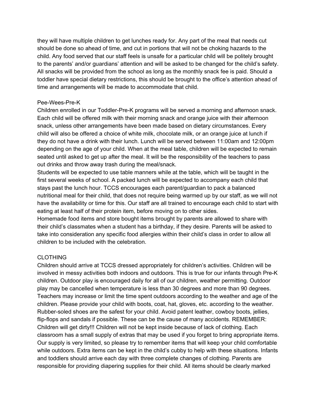they will have multiple children to get lunches ready for. Any part of the meal that needs cut should be done so ahead of time, and cut in portions that will not be choking hazards to the child. Any food served that our staff feels is unsafe for a particular child will be politely brought to the parents' and/or guardians' attention and will be asked to be changed for the child's safety. All snacks will be provided from the school as long as the monthly snack fee is paid. Should a toddler have special dietary restrictions, this should be brought to the office's attention ahead of time and arrangements will be made to accommodate that child.

#### Pee-Wees-Pre-K

Children enrolled in our Toddler-Pre-K programs will be served a morning and afternoon snack. Each child will be offered milk with their morning snack and orange juice with their afternoon snack, unless other arrangements have been made based on dietary circumstances. Every child will also be offered a choice of white milk, chocolate milk, or an orange juice at lunch if they do not have a drink with their lunch. Lunch will be served between 11:00am and 12:00pm depending on the age of your child. When at the meal table, children will be expected to remain seated until asked to get up after the meal. It will be the responsibility of the teachers to pass out drinks and throw away trash during the meal/snack.

Students will be expected to use table manners while at the table, which will be taught in the first several weeks of school. A packed lunch will be expected to accompany each child that stays past the lunch hour. TCCS encourages each parent/guardian to pack a balanced nutritional meal for their child, that does not require being warmed up by our staff, as we will not have the availability or time for this. Our staff are all trained to encourage each child to start with eating at least half of their protein item, before moving on to other sides.

Homemade food items and store bought items brought by parents are allowed to share with their child's classmates when a student has a birthday, if they desire. Parents will be asked to take into consideration any specific food allergies within their child's class in order to allow all children to be included with the celebration.

# CLOTHING

Children should arrive at TCCS dressed appropriately for children's activities. Children will be involved in messy activities both indoors and outdoors. This is true for our infants through Pre-K children. Outdoor play is encouraged daily for all of our children, weather permitting. Outdoor play may be cancelled when temperature is less than 30 degrees and more than 90 degrees. Teachers may increase or limit the time spent outdoors according to the weather and age of the children. Please provide your child with boots, coat, hat, gloves, etc. according to the weather. Rubber-soled shoes are the safest for your child. Avoid patent leather, cowboy boots, jellies, flip-flops and sandals if possible. These can be the cause of many accidents. REMEMBER: Children will get dirty!!! Children will not be kept inside because of lack of clothing. Each classroom has a small supply of extras that may be used if you forget to bring appropriate items. Our supply is very limited, so please try to remember items that will keep your child comfortable while outdoors. Extra items can be kept in the child's cubby to help with these situations. Infants and toddlers should arrive each day with three complete changes of clothing. Parents are responsible for providing diapering supplies for their child. All items should be clearly marked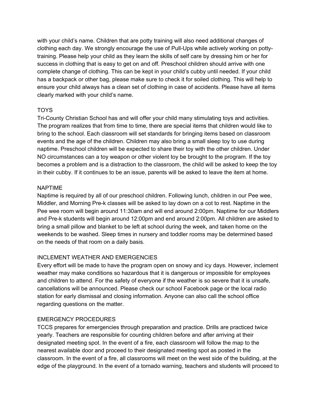with your child's name. Children that are potty training will also need additional changes of clothing each day. We strongly encourage the use of Pull-Ups while actively working on pottytraining. Please help your child as they learn the skills of self care by dressing him or her for success in clothing that is easy to get on and off. Preschool children should arrive with one complete change of clothing. This can be kept in your child's cubby until needed. If your child has a backpack or other bag, please make sure to check it for soiled clothing. This will help to ensure your child always has a clean set of clothing in case of accidents. Please have all items clearly marked with your child's name.

# TOYS

Tri-County Christian School has and will offer your child many stimulating toys and activities. The program realizes that from time to time, there are special items that children would like to bring to the school. Each classroom will set standards for bringing items based on classroom events and the age of the children. Children may also bring a small sleep toy to use during naptime. Preschool children will be expected to share their toy with the other children. Under NO circumstances can a toy weapon or other violent toy be brought to the program. If the toy becomes a problem and is a distraction to the classroom, the child will be asked to keep the toy in their cubby. If it continues to be an issue, parents will be asked to leave the item at home.

# NAPTIME

Naptime is required by all of our preschool children. Following lunch, children in our Pee wee, Middler, and Morning Pre-k classes will be asked to lay down on a cot to rest. Naptime in the Pee wee room will begin around 11:30am and will end around 2:00pm. Naptime for our Middlers and Pre-k students will begin around 12:00pm and end around 2:00pm. All children are asked to bring a small pillow and blanket to be left at school during the week, and taken home on the weekends to be washed. Sleep times in nursery and toddler rooms may be determined based on the needs of that room on a daily basis.

# INCLEMENT WEATHER AND EMERGENCIES

Every effort will be made to have the program open on snowy and icy days. However, inclement weather may make conditions so hazardous that it is dangerous or impossible for employees and children to attend. For the safety of everyone if the weather is so severe that it is unsafe, cancellations will be announced. Please check our school Facebook page or the local radio station for early dismissal and closing information. Anyone can also call the school office regarding questions on the matter.

# EMERGENCY PROCEDURES

TCCS prepares for emergencies through preparation and practice. Drills are practiced twice yearly. Teachers are responsible for counting children before and after arriving at their designated meeting spot. In the event of a fire, each classroom will follow the map to the nearest available door and proceed to their designated meeting spot as posted in the classroom. In the event of a fire, all classrooms will meet on the west side of the building, at the edge of the playground. In the event of a tornado warning, teachers and students will proceed to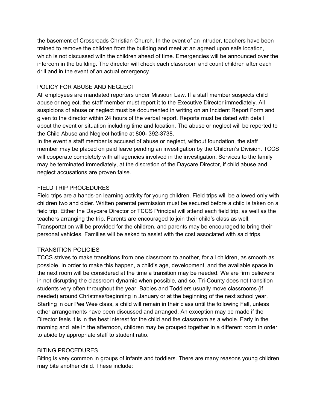the basement of Crossroads Christian Church. In the event of an intruder, teachers have been trained to remove the children from the building and meet at an agreed upon safe location, which is not discussed with the children ahead of time. Emergencies will be announced over the intercom in the building. The director will check each classroom and count children after each drill and in the event of an actual emergency.

# POLICY FOR ABUSE AND NEGLECT

All employees are mandated reporters under Missouri Law. If a staff member suspects child abuse or neglect, the staff member must report it to the Executive Director immediately. All suspicions of abuse or neglect must be documented in writing on an Incident Report Form and given to the director within 24 hours of the verbal report. Reports must be dated with detail about the event or situation including time and location. The abuse or neglect will be reported to the Child Abuse and Neglect hotline at 800- 392-3738.

In the event a staff member is accused of abuse or neglect, without foundation, the staff member may be placed on paid leave pending an investigation by the Children's Division. TCCS will cooperate completely with all agencies involved in the investigation. Services to the family may be terminated immediately, at the discretion of the Daycare Director, if child abuse and neglect accusations are proven false.

#### FIELD TRIP PROCEDURES

Field trips are a hands-on learning activity for young children. Field trips will be allowed only with children two and older. Written parental permission must be secured before a child is taken on a field trip. Either the Daycare Director or TCCS Principal will attend each field trip, as well as the teachers arranging the trip. Parents are encouraged to join their child's class as well. Transportation will be provided for the children, and parents may be encouraged to bring their personal vehicles. Families will be asked to assist with the cost associated with said trips.

#### TRANSITION POLICIES

TCCS strives to make transitions from one classroom to another, for all children, as smooth as possible. In order to make this happen, a child's age, development, and the available space in the next room will be considered at the time a transition may be needed. We are firm believers in not disrupting the classroom dynamic when possible, and so, Tri-County does not transition students very often throughout the year. Babies and Toddlers usually move classrooms (if needed) around Christmas/beginning in January or at the beginning of the next school year. Starting in our Pee Wee class, a child will remain in their class until the following Fall, unless other arrangements have been discussed and arranged. An exception may be made if the Director feels it is in the best interest for the child and the classroom as a whole. Early in the morning and late in the afternoon, children may be grouped together in a different room in order to abide by appropriate staff to student ratio.

#### BITING PROCEDURES

Biting is very common in groups of infants and toddlers. There are many reasons young children may bite another child. These include: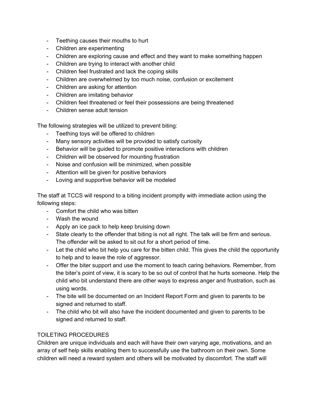- Teething causes their mouths to hurt
- Children are experimenting
- Children are exploring cause and effect and they want to make something happen
- Children are trying to interact with another child
- Children feel frustrated and lack the coping skills
- Children are overwhelmed by too much noise, confusion or excitement
- Children are asking for attention
- Children are imitating behavior
- Children feel threatened or feel their possessions are being threatened
- Children sense adult tension

The following strategies will be utilized to prevent biting:

- Teething toys will be offered to children
- Many sensory activities will be provided to satisfy curiosity
- Behavior will be guided to promote positive interactions with children
- Children will be observed for mounting frustration
- Noise and confusion will be minimized, when possible
- Attention will be given for positive behaviors
- Loving and supportive behavior will be modeled

The staff at TCCS will respond to a biting incident promptly with immediate action using the following steps:

- Comfort the child who was bitten
- Wash the wound
- Apply an ice pack to help keep bruising down
- State clearly to the offender that biting is not all right. The talk will be firm and serious. The offender will be asked to sit out for a short period of time.
- Let the child who bit help you care for the bitten child. This gives the child the opportunity to help and to leave the role of aggressor.
- Offer the biter support and use the moment to teach caring behaviors. Remember, from the biter's point of view, it is scary to be so out of control that he hurts someone. Help the child who bit understand there are other ways to express anger and frustration, such as using words.
- The bite will be documented on an Incident Report Form and given to parents to be signed and returned to staff.
- The child who bit will also have the incident documented and given to parents to be signed and returned to staff.

#### TOILETING PROCEDURES

Children are unique individuals and each will have their own varying age, motivations, and an array of self help skills enabling them to successfully use the bathroom on their own. Some children will need a reward system and others will be motivated by discomfort. The staff will